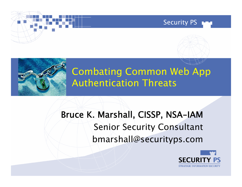





## Combating Common Web App Authentication Threats

# Bruce K. Marshall, CISSP, NSA-IAM Senior Security Consultant bmarshall@securityps.com

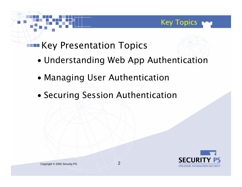## Key Presentation Topics

- •Understanding Web App Authentication
- •Managing User Authentication
- •Securing Session Authentication



Key Topics

r 1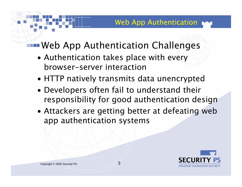# Web App Authentication Challenges

- • Authentication takes place with every browser-server interaction
- •HTTP natively transmits data unencrypted
- • Developers often fail to understand their responsibility for good authentication design
- • Attackers are getting better at defeating web app authentication systems

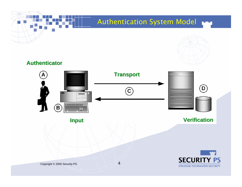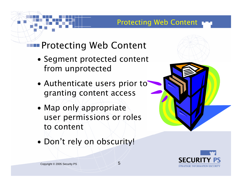#### Protecting Web Content

## Protecting Web Content

- • Segment protected content from unprotected
- • Authenticate users prior to granting content access
- • Map only appropriate user permissions or roles to content
- •Don't rely on obscurity!



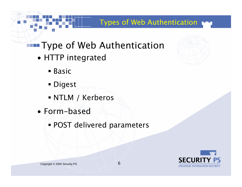#### Types of Web Authentication

- **Type of Web Authentication** 
	- • HTTP integrated
		- Basic
		- Digest
		- NTLM / Kerberos
	- Form-based
		- POST delivered parameters



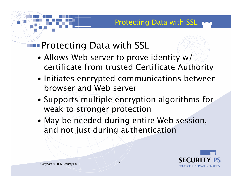## Protecting Data with SSL

- • Allows Web server to prove identity w/ certificate from trusted Certificate Authority
- • Initiates encrypted communications between browser and Web server
- • Supports multiple encryption algorithms for weak to stronger protection
- • May be needed during entire Web session, and not just during authentication

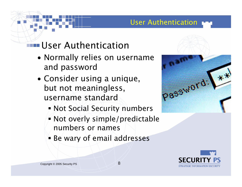#### User Authentication

### User Authentication

- • Normally relies on username and password
- • Consider using a unique, but not meaningless, username standard
	- Not Social Security numbers
	- Not overly simple/predictable numbers or names
	- Be wary of email addresses



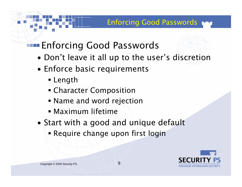# Enforcing Good Passwords

- •Don't leave it all up to the user's discretion
- • Enforce basic requirements
	- Length
	- Character Composition
	- Name and word rejection
	- Maximum lifetime
- • Start with a good and unique default
	- Require change upon first login

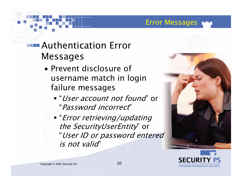#### Error Messages

### Authentication Error Messages

- Prevent disclosure of username match in login failure messages
	- "*User account not found*" or "Password incorrect"
	- "Error retrieving/updating the SecurityUserEntity" or "User ID or password entered is not valid"



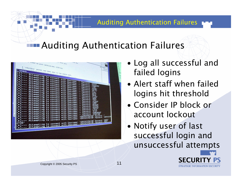#### Auditing Authentication Failures

## Auditing Authentication Failures

| <b>Compute</b><br>π<br>$\overline{\phantom{a}}$ | 'Efpoison' packet has been sent to the resote host |                                 |                                  |                               |                                   |                                                     |                  |
|-------------------------------------------------|----------------------------------------------------|---------------------------------|----------------------------------|-------------------------------|-----------------------------------|-----------------------------------------------------|------------------|
|                                                 | Attempting<br>ttempting                            | to.<br>connect                  |                                  |                               |                                   |                                                     |                  |
|                                                 | ttempting<br>ttempting                             | to<br>connect<br>to<br>connect  | with                             | Username:                     |                                   |                                                     |                  |
|                                                 | ttempting                                          | to connect                      |                                  | <b>Username</b><br>Username:  | Password:<br>assword:             |                                                     | تاله             |
|                                                 | ttempting<br>Attempting                            | to connect<br>to connect        | wi                               | Username:<br>Usernane;        | Password:<br><br>Password:<br>.,  |                                                     |                  |
|                                                 | Attempting                                         | to connect                      | th<br>wi<br>th<br>w1             | Username:<br><b>Usernane:</b> | Passwords<br><br>Password:        |                                                     |                  |
| ---                                             | Attempting                                         | to connect<br>to connect        | .th<br>Wi                        | Username:                     | <br>Password:<br>                 | dillo<br>¦æm                                        |                  |
| $- - -$                                         | Attempting to connect<br>Attempting to connect     |                                 | with<br>with                     | Username:<br>Usernane:        | Password:<br>т<br>Password:<br>., | <b>IFTLES!</b>                                      |                  |
| --                                              | Attempting to connect                              |                                 | with                             | Username:<br>with Username:   | Password:<br>.,<br>Password:<br>  | <b>PEST</b>                                         |                  |
| ---                                             | Attempting to<br>Attempting                        | connect                         | $= 1th$                          | Username:                     | Password:<br>Password:            | <b>HEEPS</b>                                        |                  |
|                                                 | Attempting                                         | to<br>connect<br>to<br>connect  | with<br>with                     | Username:<br>Username:        | Password:<br>ш<br>Password:       | "BACKLIP"<br><b>SYSTEM</b>                          |                  |
|                                                 | Attempting                                         | to<br>connect                   | with                             | Usernane:                     | Password:<br>11                   | <b><i>*SERVER</i></b><br>"Local"                    |                  |
| ---                                             | Attempting<br>Attempting                           | connect<br>to.<br>to<br>connect | th<br>wi<br>th<br>W <sub>1</sub> | Username:<br>Username:        | Password:<br><br>Password:        | -STX2+<br>-UORKGROUP<br>- CFORTUNE<br>XR - Password |                  |
| ---                                             | Attempting                                         | connect<br>to                   | with<br>with                     | Username:<br>Username:        | <br>Password:                     |                                                     | .,               |
| ---                                             | Attempting<br>Attempting                           | connect<br>to<br>connect<br>to  | with                             | Username:                     | ADMINISTRATOR                     | Password:                                           | <b>ADMINISTR</b> |
| ---                                             | Attempting                                         | connect<br>to                   | with                             | Username:                     |                                   | Password:                                           |                  |
| ATOR'                                           | Attempting to connect with Username:               |                                 |                                  |                               | ABRINISTRATORY                    | Password:                                           |                  |
| $1 - - -$                                       | Attempting to connect with Username:               |                                 |                                  |                               |                                   |                                                     |                  |

- • Log all successful and failed logins
- Alert staff when failed logins hit threshold
- Consider IP block or account lockout
- • Notify user of last successful login and unsuccessful attempts

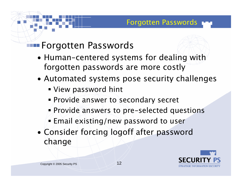### Forgotten Passwords

- • Human-centered systems for dealing with forgotten passwords are more costly
- • Automated systems pose security challenges
	- View password hint
	- Provide answer to secondary secret
	- Provide answers to pre-selected questions
	- Email existing/new password to user
- • Consider forcing logoff after password change

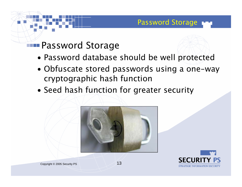#### Password Storage

### Password Storage

- •Password database should be well protected
- • Obfuscate stored passwords using a one-way cryptographic hash function
- •Seed hash function for greater security



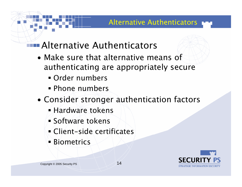#### Alternative Authenticators

## Alternative Authenticators

- Make sure that alternative means of authenticating are appropriately secure
	- Order numbers
	- Phone numbers
- • Consider stronger authentication factors
	- Hardware tokens
	- **Software tokens**
	- Client-side certificates
	- Biometrics

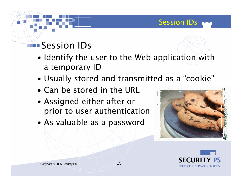### **Session IDs**

- • Identify the user to the Web application with a temporary ID
- •Usually stored and transmitted as a "cookie"
- Can be stored in the URL
- • Assigned either after or prior to user authentication
- •As valuable as a password



Session IDs

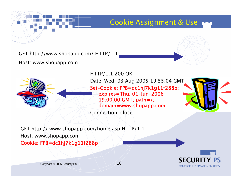

#### Cookie Assignment & Use

GET http://www.shopapp.com/ HTTP/1.1

Host: www.shopapp.com



HTTP/1.1 200 OK

Date: Wed, 03 Aug 2005 19:55:04 GMT Set-Cookie: FPB=dc1hj7k1g11f288p; expires=Thu, 01-Jun-2006 19:00:00 GMT; path=/; domain=www.shopapp.com

Connection: close



GET http:// www.shopapp.com/home.asp HTTP/1.1 Host: www.shopapp.com Cookie: FPB=dc1hj7k1g11f288p

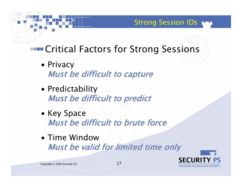# **Entical Factors for Strong Sessions**

**Strong Session IDs** 

- Privacy Must be difficult to capture
- • Predictability Must be difficult to predict
- Key Space Must be difficult to brute force
- $\bullet$  Time Window Must be valid for limited time only

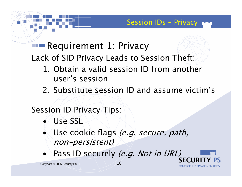STR ATEGIC INFORMATION SECURITY

# Requirement 1: Privacy

Lack of SID Privacy Leads to Session Theft:

- 1. Obtain a valid session ID from another user's session
- 2. Substitute session ID and assume victim's

#### Session ID Privacy Tips:

- $\bullet$  / Use SSL
- •Use cookie flags (e.g. secure, path, non-persistent)
- •Pass ID securely (e.g. Not in URL)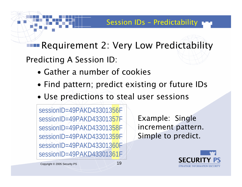Requirement 2: Very Low Predictability

Predicting A Session ID:

- Gather a number of cookies
- •Find pattern; predict existing or future IDs
- •Use predictions to steal user sessions

sessionID=49PAKD43301356FsessionID=49PAKD43301357F sessionID=49PAKD43301358F sessionID=49PAKD43301359FsessionID=49PAKD43301360F sessionID=49PAKD43301361F

Example: Single increment pattern. Simple to predict.

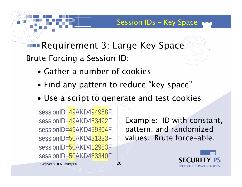Requirement 3: Large Key Space Brute Forcing a Session ID:

- Gather a number of cookies
- •Find any pattern to reduce "key space"
- •Use a script to generate and test cookies

sessionID=49AKD494958FsessionID=49AKD483492FsessionID=49AKD459304FsessionID=50AKD431333F sessionID=50AKD412983F sessionID=50AKD463340F

Example: ID with constant, pattern, and randomized values. Brute force-able.

Session IDs – Key Space

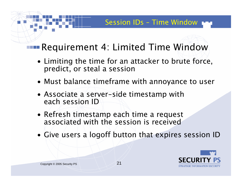## Requirement 4: Limited Time Window

- Limiting the time for an attacker to brute force, predict, or steal a session
- Must balance timeframe with annoyance to user
- Associate a server-side timestamp with each session ID
- Refresh timestamp each time a request associated with the session is received
- Give users a logoff button that expires session ID

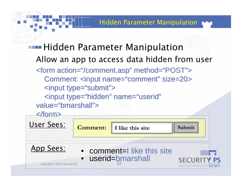# **Hidden Parameter Manipulation** Allow an app to access data hidden from user

<form action="/comment.asp" method="POST"> Comment: <input name="comment" size=20> <input type="submit"> <input type="hidden" name="userid"

value="bmarshall">

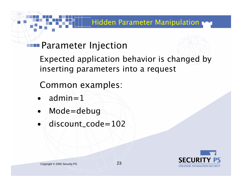#### Hidden Parameter Manipulation

### Parameter Injection

Expected application behavior is changed by inserting parameters into a request

Common examples:

- • $admin=1$
- •Mode=debug
- •discount\_code=102

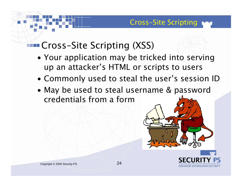## Cross-Site Scripting (XSS)

- • Your application may be tricked into serving up an attacker's HTML or scripts to users
- •Commonly used to steal the user's session ID
- • May be used to steal username & password credentials from a form



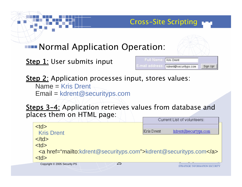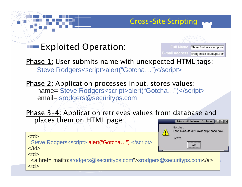### Exploited Operation:



Gotcha.

Cross-Site Scripting

**Phase 1**: User submits name with unexpected HTML tags: Steve Rodgers<script>alert("Gotcha...")</script>

<u>Phase 2:</u> Application processes input, stores values: name= Steve Rodgers<script>alert("Gotcha...")</script> email= srodgers@securityps.com

Phase 3-4: Application retrieves values from database and places them on HTML page: Microsoft Internet Explorer  $\Box$   $\Box$   $\Box$ 

|                                                                                                                      | I can execute any javascript code now.                                                          |             |  |
|----------------------------------------------------------------------------------------------------------------------|-------------------------------------------------------------------------------------------------|-------------|--|
| <td><br/>Steve Rodgers<script> alert("Gotcha") </script><br/><math>\langle t \, ds</math></td> <td>Steve<br/>ОК</td> | <br>Steve Rodgers <script> alert("Gotcha") </script><br>$\langle t \, ds$                       | Steve<br>ОК |  |
| <td><br/><a href="mailto:srodgers@securityps.com">srodgers@securityps.com</a><br/><td></td><td></td></td>            | <br><a href="mailto:srodgers@securityps.com">srodgers@securityps.com</a><br><td></td> <td></td> |             |  |
|                                                                                                                      |                                                                                                 |             |  |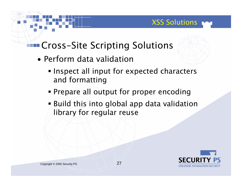#### XSS Solutions

### Cross-Site Scripting Solutions

- Perform data validation
	- **Inspect all input for expected characters** and formatting
	- Prepare all output for proper encoding
	- Build this into global app data validation library for regular reuse

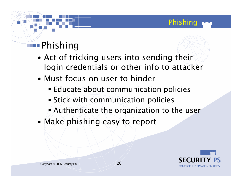# **Phishing**

- • Act of tricking users into sending their login credentials or other info to attacker
- Must focus on user to hinder
	- Educate about communication policies
	- Stick with communication policies
	- Authenticate the organization to the user
- •Make phishing easy to report



Phishing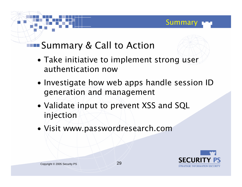## Summary & Call to Action

- • Take initiative to implement strong user authentication now
- • Investigate how web apps handle session ID generation and management
- • Validate input to prevent XSS and SQL injection
- •Visit www.passwordresearch.com



Summary